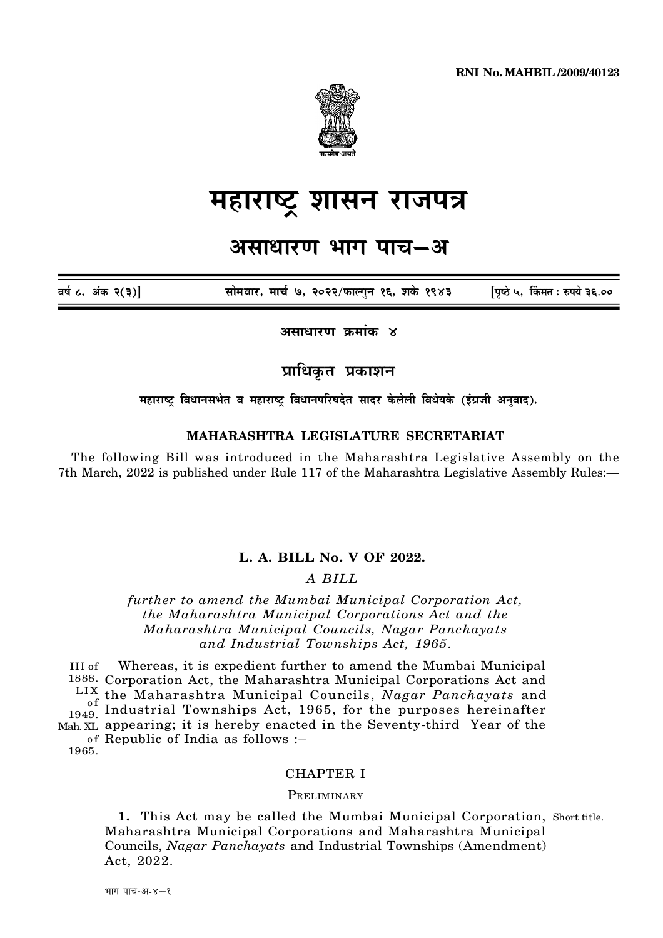**RNI No. MAHBIL /2009/40123** 



# महाराष्ट्र शासन राजपत्र

# असाधारण भाग पाच–अ

सोमवार, मार्च ७, २०२२/फाल्गन १६, शके १९४३ पिष्ठे ५, किंमत: रुपये ३६.०० वर्ष ८, अंक २(३)]

असाधारण कमांक ४

प्राधिकत प्रकाशन

महाराष्ट्र विधानसभेत व महाराष्ट्र विधानपरिषदेत सादर केलेली विधेयके (इंग्रजी अनुवाद).

# MAHARASHTRA LEGISLATURE SECRETARIAT

The following Bill was introduced in the Maharashtra Legislative Assembly on the 7th March, 2022 is published under Rule 117 of the Maharashtra Legislative Assembly Rules:-

# L. A. BILL No. V OF 2022.

# A BILL

further to amend the Mumbai Municipal Corporation Act, the Maharashtra Municipal Corporations Act and the Maharashtra Municipal Councils, Nagar Panchayats and Industrial Townships Act, 1965.

Whereas, it is expedient further to amend the Mumbai Municipal  $III of$ 1888. Corporation Act, the Maharashtra Municipal Corporations Act and LIX the Maharashtra Municipal Councils, Nagar Panchayats and of the manarashtra municipal Councils, *inagur ranchayats* and<br>1949. Industrial Townships Act, 1965, for the purposes hereinafter Mah XL appearing; it is hereby enacted in the Seventy-third Year of the of Republic of India as follows :-

1965.

## **CHAPTER I**

#### PRELIMINARY

1. This Act may be called the Mumbai Municipal Corporation, Short title. Maharashtra Municipal Corporations and Maharashtra Municipal Councils, Nagar Panchayats and Industrial Townships (Amendment) Act, 2022.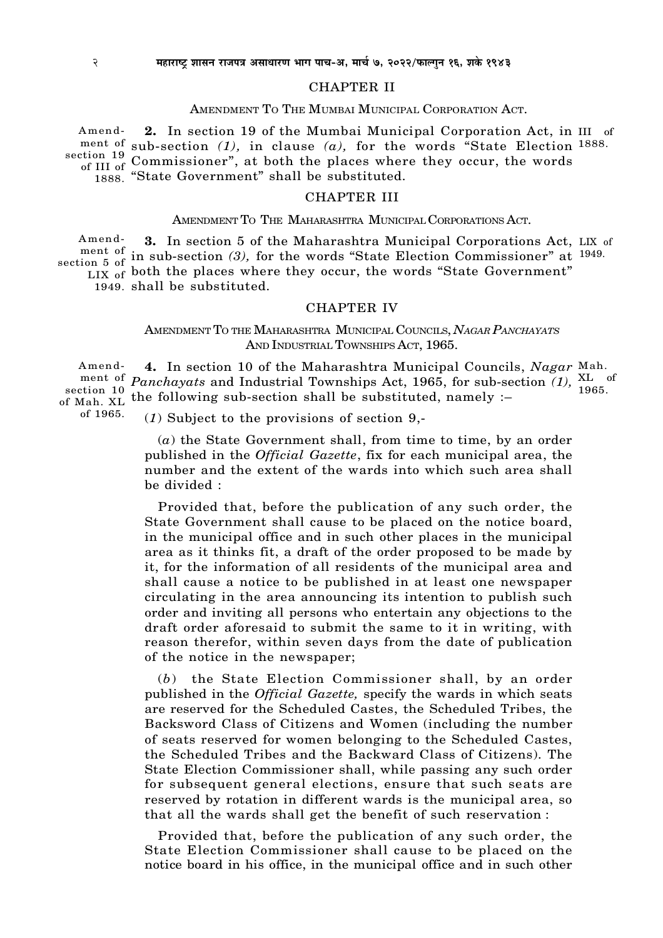#### CHAPTER II

#### AMENDMENT TO THE MUMBAI MUNICIPAL CORPORATION ACT.

**2.** In section 19 of the Mumbai Municipal Corporation Act, in III of ment of sub-section  $(1)$ , in clause  $(a)$ , for the words "State Election 1888. section 19 and section (2), in crosses (a), for the words state direction 1888. "State Government" shall be substituted. Amendof III of

#### CHAPTER III

#### AMENDMENT TO THE MAHARASHTRA MUNICIPAL CORPORATIONS ACT.

**3.** In section 5 of the Maharashtra Municipal Corporations Act, LIX of ment of in sub-section *(3)*, for the words "State Election Commissioner" at <sup>1949.</sup>  $LIX$  of both the places where they occur, the words "State Government" Amendsection 5 of

1949. shall be substituted.

#### CHAPTER IV

### AMENDMENT T<sup>O</sup> THE MAHARASHTRA MUNICIPAL COUNCILS, *NAGAR PANCHAYATS* AND INDUSTRIAL TOWNSHIPS ACT, 1965.

**4.** In section 10 of the Maharashtra Municipal Councils, *Nagar* Mah. *Panchayats* and Industrial Townships Act, 1965, for sub-section (1),  $_{10.65}^{XL}$  of  $t_{\text{Mah}}$   $\chi_{\text{L}}$  the following sub-section shall be substituted, namely :-1965. Amendment of of Mah. XL

of 1965.

(*1*) Subject to the provisions of section 9,-

(*a*) the State Government shall, from time to time, by an order published in the *Official Gazette*, fix for each municipal area, the number and the extent of the wards into which such area shall be divided :

Provided that, before the publication of any such order, the State Government shall cause to be placed on the notice board, in the municipal office and in such other places in the municipal area as it thinks fit, a draft of the order proposed to be made by it, for the information of all residents of the municipal area and shall cause a notice to be published in at least one newspaper circulating in the area announcing its intention to publish such order and inviting all persons who entertain any objections to the draft order aforesaid to submit the same to it in writing, with reason therefor, within seven days from the date of publication of the notice in the newspaper;

(*b*) the State Election Commissioner shall, by an order published in the *Official Gazette,* specify the wards in which seats are reserved for the Scheduled Castes, the Scheduled Tribes, the Backsword Class of Citizens and Women (including the number of seats reserved for women belonging to the Scheduled Castes, the Scheduled Tribes and the Backward Class of Citizens). The State Election Commissioner shall, while passing any such order for subsequent general elections, ensure that such seats are reserved by rotation in different wards is the municipal area, so that all the wards shall get the benefit of such reservation :

Provided that, before the publication of any such order, the State Election Commissioner shall cause to be placed on the notice board in his office, in the municipal office and in such other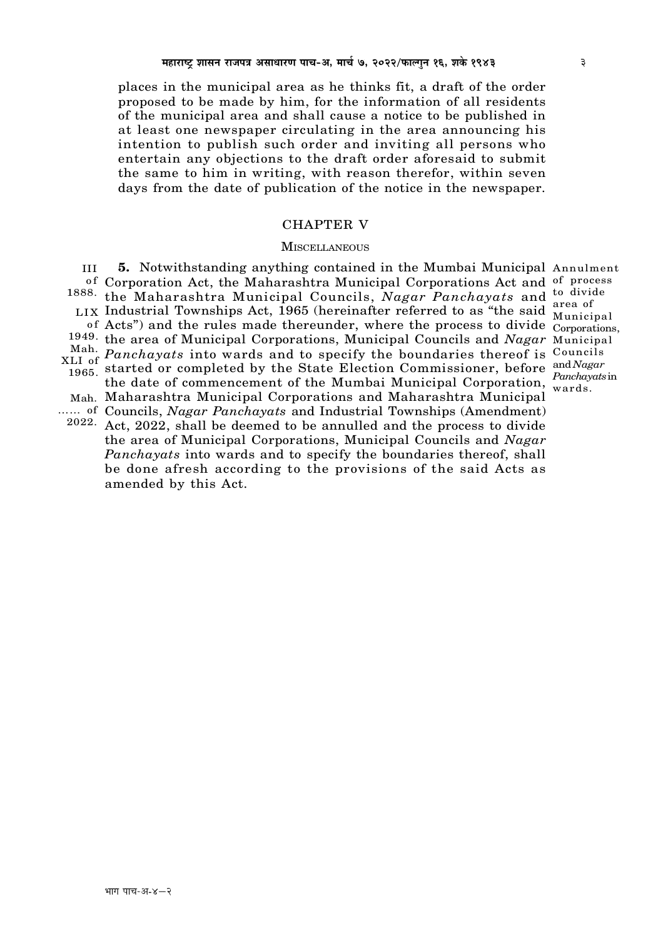places in the municipal area as he thinks fit, a draft of the order proposed to be made by him, for the information of all residents of the municipal area and shall cause a notice to be published in at least one newspaper circulating in the area announcing his intention to publish such order and inviting all persons who entertain any objections to the draft order aforesaid to submit the same to him in writing, with reason therefor, within seven days from the date of publication of the notice in the newspaper.

#### **CHAPTER V**

#### **MISCELLANEOUS**

5. Notwithstanding anything contained in the Mumbai Municipal Annulment  $III$ of Corporation Act, the Maharashtra Municipal Corporations Act and of process <sup>1888</sup> the Maharashtra Municipal Councils, Nagar Panchayats and <sup>to divide</sup> LIX Industrial Townships Act, 1965 (hereinafter referred to as "the said Municipal" of Acts") and the rules made thereunder, where the process to divide Corporations. 1949. the area of Municipal Corporations, Municipal Councils and Nagar Municipal Mah. Fine area of Mahicipal Corporations, Mahicipal Councils and Tugar Mahicipal<br>XLI of Panchayats into wards and to specify the boundaries thereof is Councils 1965. started or completed by the State Election Commissioner, before and Nagar the date of commencement of the Mumbai Municipal Corporation, wards. Mah. Maharashtra Municipal Corporations and Maharashtra Municipal ...... of Councils, *Nagar Panchayats* and Industrial Townships (Amendment)  $2022$ . Act, 2022, shall be deemed to be annulled and the process to divide the area of Municipal Corporations, Municipal Councils and Nagar Panchayats into wards and to specify the boundaries thereof, shall be done afresh according to the provisions of the said Acts as

amended by this Act.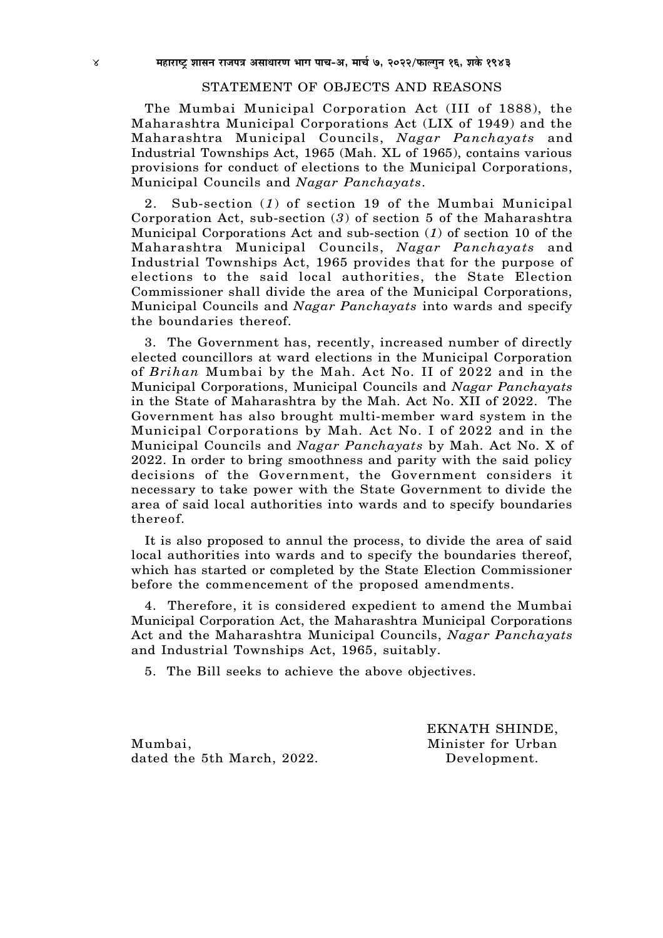#### STATEMENT OF OBJECTS AND REASONS

The Mumbai Municipal Corporation Act (III of 1888), the Maharashtra Municipal Corporations Act (LIX of 1949) and the Maharashtra Municipal Councils, *Nagar Panchayats* and Industrial Townships Act, 1965 (Mah. XL of 1965), contains various provisions for conduct of elections to the Municipal Corporations, Municipal Councils and *Nagar Panchayats*.

2. Sub-section (*1*) of section 19 of the Mumbai Municipal Corporation Act, sub-section (*3*) of section 5 of the Maharashtra Municipal Corporations Act and sub-section (*1*) of section 10 of the Maharashtra Municipal Councils, *Nagar Panchayats* and Industrial Townships Act, 1965 provides that for the purpose of elections to the said local authorities, the State Election Commissioner shall divide the area of the Municipal Corporations, Municipal Councils and *Nagar Panchayats* into wards and specify the boundaries thereof.

3. The Government has, recently, increased number of directly elected councillors at ward elections in the Municipal Corporation of *Brihan* Mumbai by the Mah. Act No. II of 2022 and in the Municipal Corporations, Municipal Councils and *Nagar Panchayats* in the State of Maharashtra by the Mah. Act No. XII of 2022. The Government has also brought multi-member ward system in the Municipal Corporations by Mah. Act No. I of 2022 and in the Municipal Councils and *Nagar Panchayats* by Mah. Act No. X of 2022. In order to bring smoothness and parity with the said policy decisions of the Government, the Government considers it necessary to take power with the State Government to divide the area of said local authorities into wards and to specify boundaries thereof.

It is also proposed to annul the process, to divide the area of said local authorities into wards and to specify the boundaries thereof, which has started or completed by the State Election Commissioner before the commencement of the proposed amendments.

4. Therefore, it is considered expedient to amend the Mumbai Municipal Corporation Act, the Maharashtra Municipal Corporations Act and the Maharashtra Municipal Councils, *Nagar Panchayats* and Industrial Townships Act, 1965, suitably.

5. The Bill seeks to achieve the above objectives.

Mumbai, Minister for Urban dated the 5th March, 2022. Development.

EKNATH SHINDE,